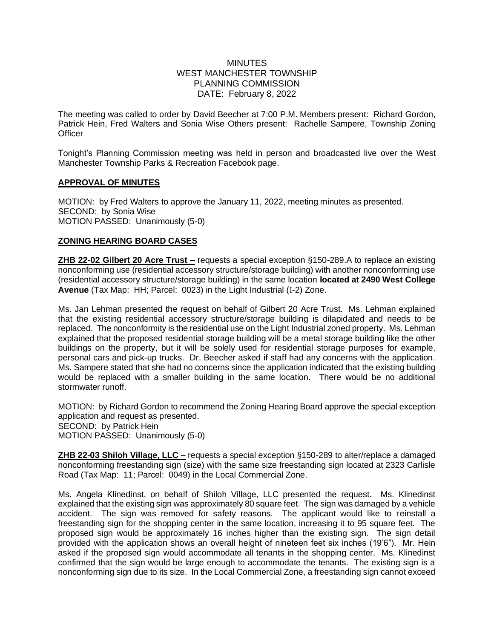# **MINUTES** WEST MANCHESTER TOWNSHIP PLANNING COMMISSION DATE: February 8, 2022

The meeting was called to order by David Beecher at 7:00 P.M. Members present: Richard Gordon, Patrick Hein, Fred Walters and Sonia Wise Others present: Rachelle Sampere, Township Zoning **Officer** 

Tonight's Planning Commission meeting was held in person and broadcasted live over the West Manchester Township Parks & Recreation Facebook page.

## **APPROVAL OF MINUTES**

MOTION: by Fred Walters to approve the January 11, 2022, meeting minutes as presented. SECOND: by Sonia Wise MOTION PASSED: Unanimously (5-0)

## **ZONING HEARING BOARD CASES**

**ZHB 22-02 Gilbert 20 Acre Trust –** requests a special exception §150-289.A to replace an existing nonconforming use (residential accessory structure/storage building) with another nonconforming use (residential accessory structure/storage building) in the same location **located at 2490 West College Avenue** (Tax Map: HH; Parcel: 0023) in the Light Industrial (I-2) Zone.

Ms. Jan Lehman presented the request on behalf of Gilbert 20 Acre Trust. Ms. Lehman explained that the existing residential accessory structure/storage building is dilapidated and needs to be replaced. The nonconformity is the residential use on the Light Industrial zoned property. Ms. Lehman explained that the proposed residential storage building will be a metal storage building like the other buildings on the property, but it will be solely used for residential storage purposes for example, personal cars and pick-up trucks. Dr. Beecher asked if staff had any concerns with the application. Ms. Sampere stated that she had no concerns since the application indicated that the existing building would be replaced with a smaller building in the same location. There would be no additional stormwater runoff.

MOTION: by Richard Gordon to recommend the Zoning Hearing Board approve the special exception application and request as presented. SECOND: by Patrick Hein MOTION PASSED: Unanimously (5-0)

**ZHB 22-03 Shiloh Village, LLC –** requests a special exception §150-289 to alter/replace a damaged nonconforming freestanding sign (size) with the same size freestanding sign located at 2323 Carlisle Road (Tax Map: 11; Parcel: 0049) in the Local Commercial Zone.

Ms. Angela Klinedinst, on behalf of Shiloh Village, LLC presented the request. Ms. Klinedinst explained that the existing sign was approximately 80 square feet. The sign was damaged by a vehicle accident. The sign was removed for safety reasons. The applicant would like to reinstall a freestanding sign for the shopping center in the same location, increasing it to 95 square feet. The proposed sign would be approximately 16 inches higher than the existing sign. The sign detail provided with the application shows an overall height of nineteen feet six inches (19'6"). Mr. Hein asked if the proposed sign would accommodate all tenants in the shopping center. Ms. Klinedinst confirmed that the sign would be large enough to accommodate the tenants. The existing sign is a nonconforming sign due to its size. In the Local Commercial Zone, a freestanding sign cannot exceed